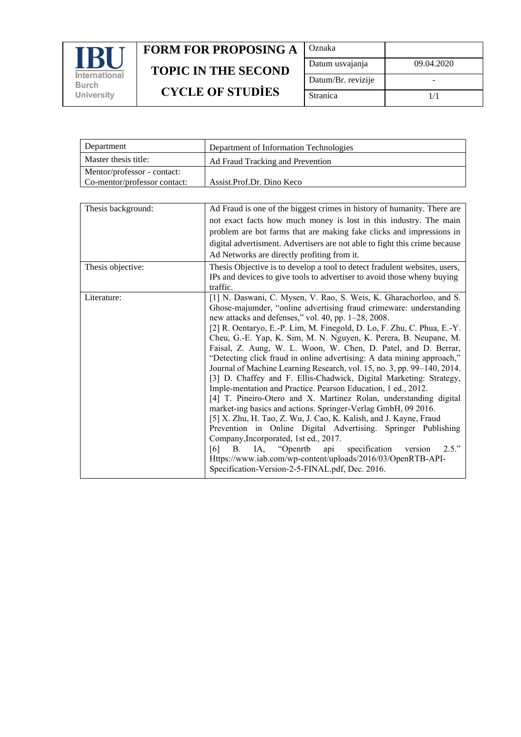

| Oznaka             |            |
|--------------------|------------|
| Datum usvajanja    | 09.04.2020 |
| Datum/Br. revizije |            |
| Stranica           | 1/1        |

| Department                   | Department of Information Technologies |
|------------------------------|----------------------------------------|
| Master thesis title:         | Ad Fraud Tracking and Prevention       |
| Mentor/professor - contact:  |                                        |
| Co-mentor/professor contact: | Assist.Prof.Dr. Dino Keco              |

| Thesis background: | Ad Fraud is one of the biggest crimes in history of humanity. There are                                                            |
|--------------------|------------------------------------------------------------------------------------------------------------------------------------|
|                    | not exact facts how much money is lost in this industry. The main                                                                  |
|                    | problem are bot farms that are making fake clicks and impressions in                                                               |
|                    | digital advertisment. Advertisers are not able to fight this crime because                                                         |
|                    | Ad Networks are directly profiting from it.                                                                                        |
| Thesis objective:  | Thesis Objective is to develop a tool to detect fradulent websites, users,                                                         |
|                    | IPs and devices to give tools to advertiser to avoid those wheny buying                                                            |
|                    | traffic.                                                                                                                           |
| Literature:        | [1] N. Daswani, C. Mysen, V. Rao, S. Weis, K. Gharachorloo, and S.                                                                 |
|                    | Ghose-majumder, "online advertising fraud crimeware: understanding                                                                 |
|                    | new attacks and defenses," vol. 40, pp. 1-28, 2008.                                                                                |
|                    | [2] R. Oentaryo, E.-P. Lim, M. Finegold, D. Lo, F. Zhu, C. Phua, E.-Y.                                                             |
|                    | Cheu, G.-E. Yap, K. Sim, M. N. Nguyen, K. Perera, B. Neupane, M.                                                                   |
|                    | Faisal, Z. Aung, W. L. Woon, W. Chen, D. Patel, and D. Berrar,                                                                     |
|                    | "Detecting click fraud in online advertising: A data mining approach,"                                                             |
|                    | Journal of Machine Learning Research, vol. 15, no. 3, pp. 99-140, 2014.                                                            |
|                    | [3] D. Chaffey and F. Ellis-Chadwick, Digital Marketing: Strategy,                                                                 |
|                    | Imple-mentation and Practice. Pearson Education, 1 ed., 2012.                                                                      |
|                    | [4] T. Pineiro-Otero and X. Martinez Rolan, understanding digital                                                                  |
|                    | market-ing basics and actions. Springer-Verlag GmbH, 09 2016.<br>[5] X. Zhu, H. Tao, Z. Wu, J. Cao, K. Kalish, and J. Kayne, Fraud |
|                    | Prevention in Online Digital Advertising. Springer Publishing                                                                      |
|                    | Company, Incorporated, 1st ed., 2017.                                                                                              |
|                    | IA, "Openrtb api<br>specification<br>2.5."<br>version<br>[6]<br><b>B.</b>                                                          |
|                    | Https://www.iab.com/wp-content/uploads/2016/03/OpenRTB-API-                                                                        |
|                    | Specification-Version-2-5-FINAL.pdf, Dec. 2016.                                                                                    |
|                    |                                                                                                                                    |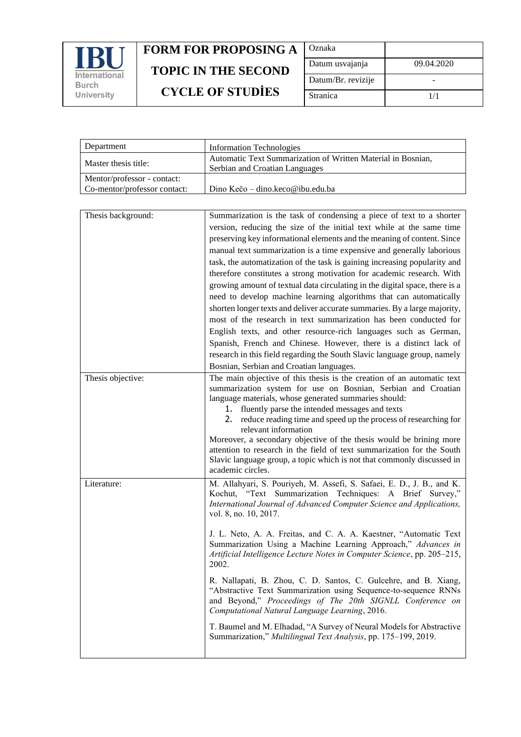

| Oznaka             |            |
|--------------------|------------|
| Datum usvajanja    | 09.04.2020 |
| Datum/Br. revizije |            |
| Stranica           | 1/1        |

| Department                                                  | <b>Information Technologies</b>                                                                |
|-------------------------------------------------------------|------------------------------------------------------------------------------------------------|
| Master thesis title:                                        | Automatic Text Summarization of Written Material in Bosnian,<br>Serbian and Croatian Languages |
| Mentor/professor - contact:<br>Co-mentor/professor contact: | Dino Kečo – dino.keco@ibu.edu.ba                                                               |

| Thesis background: | Summarization is the task of condensing a piece of text to a shorter                                                                                                                                                                                  |
|--------------------|-------------------------------------------------------------------------------------------------------------------------------------------------------------------------------------------------------------------------------------------------------|
|                    | version, reducing the size of the initial text while at the same time                                                                                                                                                                                 |
|                    | preserving key informational elements and the meaning of content. Since                                                                                                                                                                               |
|                    | manual text summarization is a time expensive and generally laborious                                                                                                                                                                                 |
|                    | task, the automatization of the task is gaining increasing popularity and                                                                                                                                                                             |
|                    | therefore constitutes a strong motivation for academic research. With                                                                                                                                                                                 |
|                    | growing amount of textual data circulating in the digital space, there is a                                                                                                                                                                           |
|                    | need to develop machine learning algorithms that can automatically                                                                                                                                                                                    |
|                    | shorten longer texts and deliver accurate summaries. By a large majority,                                                                                                                                                                             |
|                    | most of the research in text summarization has been conducted for                                                                                                                                                                                     |
|                    | English texts, and other resource-rich languages such as German,                                                                                                                                                                                      |
|                    | Spanish, French and Chinese. However, there is a distinct lack of                                                                                                                                                                                     |
|                    | research in this field regarding the South Slavic language group, namely                                                                                                                                                                              |
|                    | Bosnian, Serbian and Croatian languages.                                                                                                                                                                                                              |
| Thesis objective:  | The main objective of this thesis is the creation of an automatic text<br>summarization system for use on Bosnian, Serbian and Croatian<br>language materials, whose generated summaries should:<br>1. fluently parse the intended messages and texts |
|                    | 2. reduce reading time and speed up the process of researching for<br>relevant information                                                                                                                                                            |
|                    | Moreover, a secondary objective of the thesis would be brining more<br>attention to research in the field of text summarization for the South<br>Slavic language group, a topic which is not that commonly discussed in<br>academic circles.          |
| Literature:        | M. Allahyari, S. Pouriyeh, M. Assefi, S. Safaei, E. D., J. B., and K.<br>Kochut, "Text Summarization Techniques: A Brief Survey,"<br>International Journal of Advanced Computer Science and Applications,<br>vol. 8, no. 10, 2017.                    |
|                    | J. L. Neto, A. A. Freitas, and C. A. A. Kaestner, "Automatic Text<br>Summarization Using a Machine Learning Approach," Advances in<br>Artificial Intelligence Lecture Notes in Computer Science, pp. 205-215,<br>2002.                                |
|                    | R. Nallapati, B. Zhou, C. D. Santos, C. Gulcehre, and B. Xiang,<br>"Abstractive Text Summarization using Sequence-to-sequence RNNs<br>and Beyond," Proceedings of The 20th SIGNLL Conference on<br>Computational Natural Language Learning, 2016.     |
|                    | T. Baumel and M. Elhadad, "A Survey of Neural Models for Abstractive<br>Summarization," Multilingual Text Analysis, pp. 175-199, 2019.                                                                                                                |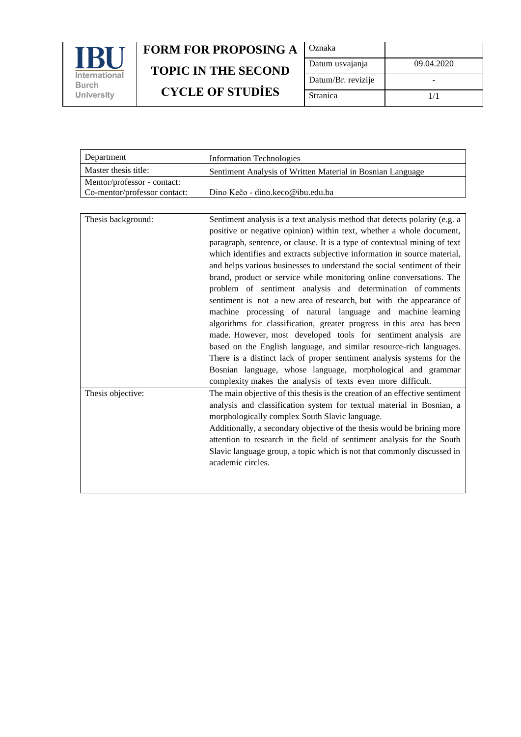

| Oznaka             |            |
|--------------------|------------|
| Datum usvajanja    | 09.04.2020 |
| Datum/Br. revizije |            |
| Stranica           | 1/1        |

| Department                   | Information Technologies                                   |
|------------------------------|------------------------------------------------------------|
| Master thesis title:         | Sentiment Analysis of Written Material in Bosnian Language |
| Mentor/professor - contact:  |                                                            |
| Co-mentor/professor contact: | Dino Kečo - dino.keco@ibu.edu.ba                           |

| Thesis background: | Sentiment analysis is a text analysis method that detects polarity (e.g. a  |
|--------------------|-----------------------------------------------------------------------------|
|                    | positive or negative opinion) within text, whether a whole document,        |
|                    | paragraph, sentence, or clause. It is a type of contextual mining of text   |
|                    | which identifies and extracts subjective information in source material,    |
|                    | and helps various businesses to understand the social sentiment of their    |
|                    | brand, product or service while monitoring online conversations. The        |
|                    | problem of sentiment analysis and determination of comments                 |
|                    | sentiment is not a new area of research, but with the appearance of         |
|                    | machine processing of natural language and machine learning                 |
|                    | algorithms for classification, greater progress in this area has been       |
|                    | made. However, most developed tools for sentiment analysis are              |
|                    | based on the English language, and similar resource-rich languages.         |
|                    | There is a distinct lack of proper sentiment analysis systems for the       |
|                    | Bosnian language, whose language, morphological and grammar                 |
|                    | complexity makes the analysis of texts even more difficult.                 |
| Thesis objective:  | The main objective of this thesis is the creation of an effective sentiment |
|                    | analysis and classification system for textual material in Bosnian, a       |
|                    | morphologically complex South Slavic language.                              |
|                    | Additionally, a secondary objective of the thesis would be brining more     |
|                    | attention to research in the field of sentiment analysis for the South      |
|                    | Slavic language group, a topic which is not that commonly discussed in      |
|                    | academic circles.                                                           |
|                    |                                                                             |
|                    |                                                                             |